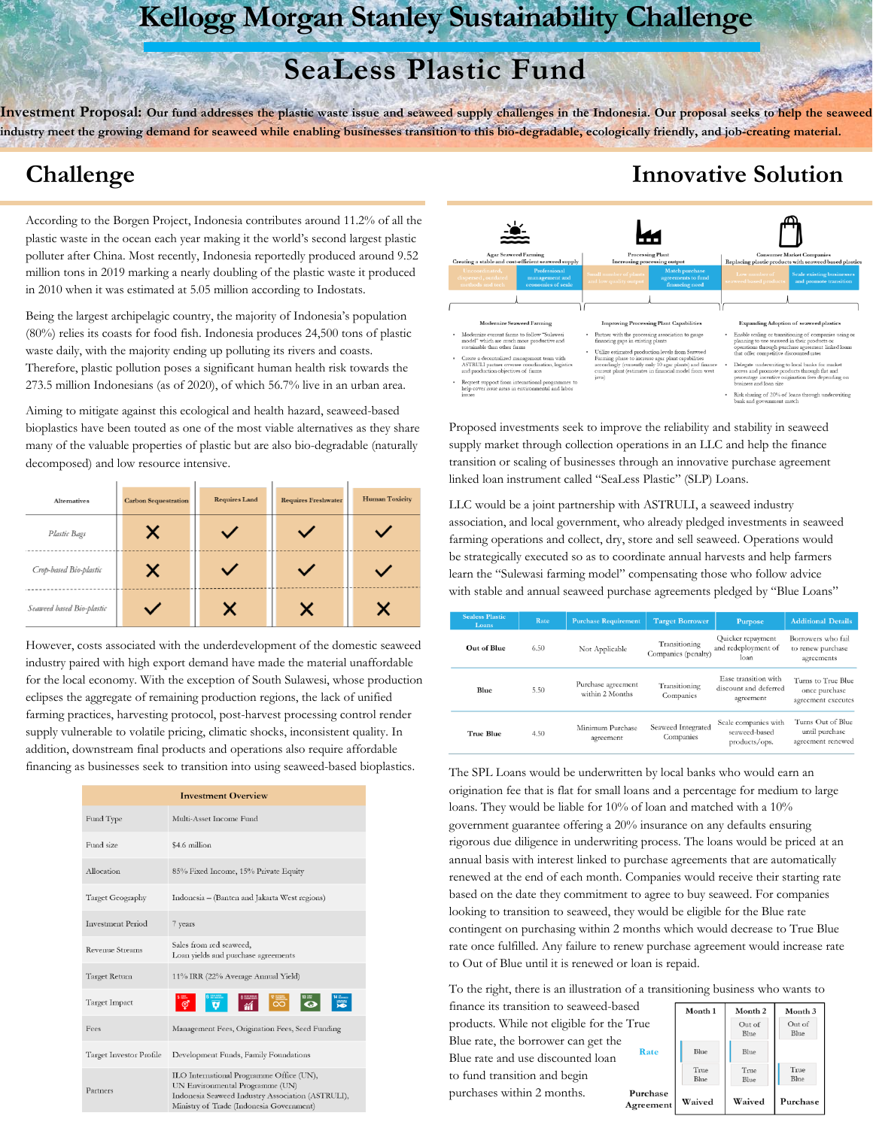# **Kellogg Morgan Stanley Sustainability Challenge**

# **SeaLess Plastic Fund**

**Investment Proposal: Our fund addresses the plastic waste issue and seaweed supply challenges in the Indonesia. Our proposal seeks to help the seaweed industry meet the growing demand for seaweed while enabling businesses transition to this bio-degradable, ecologically friendly, and job-creating material.**

#### **Challenge**

According to the Borgen Project, Indonesia contributes around 11.2% of all the plastic waste in the ocean each year making it the world's second largest plastic polluter after China. Most recently, Indonesia reportedly produced around 9.52 million tons in 2019 marking a nearly doubling of the plastic waste it produced in 2010 when it was estimated at 5.05 million according to Indostats.

Being the largest archipelagic country, the majority of Indonesia's population (80%) relies its coasts for food fish. Indonesia produces 24,500 tons of plastic waste daily, with the majority ending up polluting its rivers and coasts. Therefore, plastic pollution poses a significant human health risk towards the 273.5 million Indonesians (as of 2020), of which 56.7% live in an urban area.

Aiming to mitigate against this ecological and health hazard, seaweed-based bioplastics have been touted as one of the most viable alternatives as they share many of the valuable properties of plastic but are also bio-degradable (naturally decomposed) and low resource intensive.

| <b>Alternatives</b>       | <b>Carbon Sequestration</b> | <b>Requires Land</b> | <b>Requires Freshwater</b> | <b>Human Toxicity</b> |
|---------------------------|-----------------------------|----------------------|----------------------------|-----------------------|
| Plastic Bags              | x                           |                      |                            |                       |
| Crop-based Bio-plastic    |                             |                      |                            |                       |
| Seaweed based Bio-plastic |                             |                      |                            |                       |

However, costs associated with the underdevelopment of the domestic seaweed industry paired with high export demand have made the material unaffordable for the local economy. With the exception of South Sulawesi, whose production eclipses the aggregate of remaining production regions, the lack of unified farming practices, harvesting protocol, post-harvest processing control render supply vulnerable to volatile pricing, climatic shocks, inconsistent quality. In addition, downstream final products and operations also require affordable financing as businesses seek to transition into using seaweed-based bioplastics.

| <b>Investment Overview</b> |                                                                                                                                                                              |  |  |  |  |  |
|----------------------------|------------------------------------------------------------------------------------------------------------------------------------------------------------------------------|--|--|--|--|--|
| Fund Type                  | Multi-Asset Income Fund                                                                                                                                                      |  |  |  |  |  |
| Fund size                  | \$4.6 million                                                                                                                                                                |  |  |  |  |  |
| Allocation                 | 85% Fixed Income, 15% Private Equity                                                                                                                                         |  |  |  |  |  |
| Target Geography           | Indonesia - (Banten and Jakarta West regions)                                                                                                                                |  |  |  |  |  |
| <b>Investment Period</b>   | 7 years                                                                                                                                                                      |  |  |  |  |  |
| <b>Revenue Streams</b>     | Sales from red seaweed.<br>Loan yields and purchase agreements                                                                                                               |  |  |  |  |  |
| Target Return              | 11% IRR (22% Average Annual Yield)                                                                                                                                           |  |  |  |  |  |
| Target Impact              | 'ਚ 'ਅੰ ∞<br>$\sum_{n=1}^{\infty}$                                                                                                                                            |  |  |  |  |  |
| Fees                       | Management Fees, Origination Fees, Seed Funding                                                                                                                              |  |  |  |  |  |
| Target Investor Profile    | Development Funds, Family Foundations                                                                                                                                        |  |  |  |  |  |
| Partners                   | ILO International Programme Office (UN),<br>UN Environmental Programme (UN)<br>Indonesia Seaweed Industry Association (ASTRULI),<br>Ministry of Trade (Indonesia Government) |  |  |  |  |  |



Proposed investments seek to improve the reliability and stability in seaweed supply market through collection operations in an LLC and help the finance transition or scaling of businesses through an innovative purchase agreement linked loan instrument called "SeaLess Plastic" (SLP) Loans.

LLC would be a joint partnership with ASTRULI, a seaweed industry association, and local government, who already pledged investments in seaweed farming operations and collect, dry, store and sell seaweed. Operations would be strategically executed so as to coordinate annual harvests and help farmers learn the "Sulewasi farming model" compensating those who follow advice with stable and annual seaweed purchase agreements pledged by "Blue Loans"

| <b>Sealess Plastic</b><br>Loans | Rate | <b>Purchase Requirement</b>                                         | <b>Target Borrower</b>                                                                   | Purpose                                                    | <b>Additional Details</b>                                 |
|---------------------------------|------|---------------------------------------------------------------------|------------------------------------------------------------------------------------------|------------------------------------------------------------|-----------------------------------------------------------|
| Out of Blue                     | 6.50 | Not Applicable                                                      | Quicker repayment<br>Transitioning<br>and redeployment of<br>Companies (penalty)<br>loan |                                                            | Borrowers who fail<br>to renew purchase<br>agreements     |
| Blue                            | 5.50 | Purchase agreement<br>Transitioning<br>within 2 Months<br>Companies |                                                                                          | Ease transition with<br>discount and deferred<br>agreement | Turns to True Blue<br>once purchase<br>agreement executes |
| <b>True Blue</b>                | 4.50 | Minimum Purchase<br>agreement                                       | Seaweed Integrated<br>Companies                                                          | Scale companies with<br>seaweed-based<br>products/ops.     | Turns Out of Blue<br>until purchase<br>agreement renewed  |

The SPL Loans would be underwritten by local banks who would earn an origination fee that is flat for small loans and a percentage for medium to large loans. They would be liable for 10% of loan and matched with a 10% government guarantee offering a 20% insurance on any defaults ensuring rigorous due diligence in underwriting process. The loans would be priced at an annual basis with interest linked to purchase agreements that are automatically renewed at the end of each month. Companies would receive their starting rate based on the date they commitment to agree to buy seaweed. For companies looking to transition to seaweed, they would be eligible for the Blue rate contingent on purchasing within 2 months which would decrease to True Blue rate once fulfilled. Any failure to renew purchase agreement would increase rate to Out of Blue until it is renewed or loan is repaid.

To the right, there is an illustration of a transitioning business who wants to

finance its transition to seaweed-based products. While not eligible for the Ti Blue rate, the borrower can get the Blue rate and use discounted loan to fund transition and begin purchases within 2 months. P Ag

|                    | $\cdots$     |                    |                    |  |
|--------------------|--------------|--------------------|--------------------|--|
| 1                  | Month 1      | Month <sub>2</sub> | Month <sub>3</sub> |  |
| rue                |              | Out of<br>Blue     | Out of<br>Blue     |  |
| Rate               | Blue         | Blue               |                    |  |
|                    | True<br>Blue | True<br>Blue       | True<br>Blue       |  |
| urchase<br>reement | Waived       | Waived             | Purchase           |  |

## **Innovative Solution**